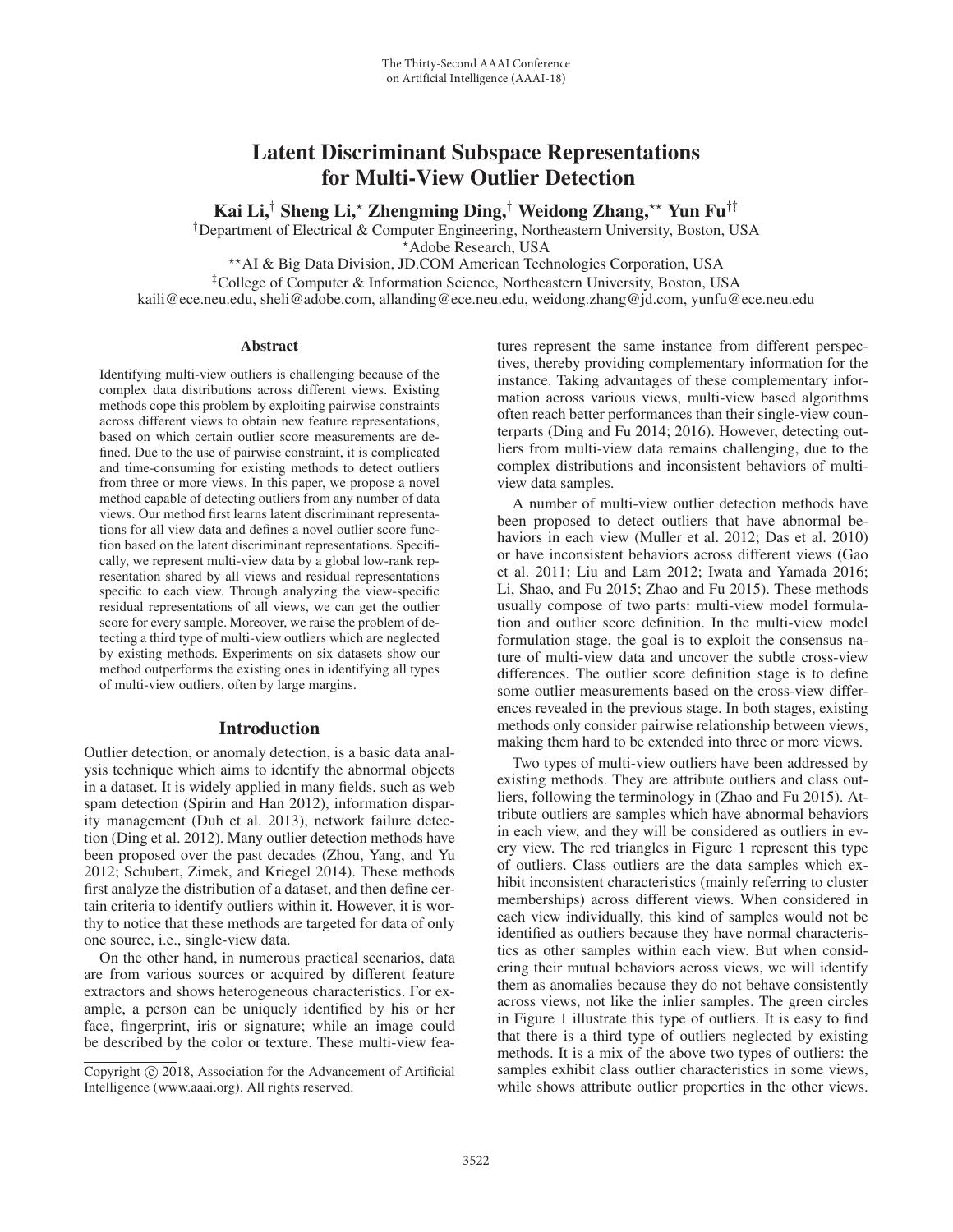# Latent Discriminant Subspace Representations for Multi-View Outlier Detection

Kai Li,<sup>†</sup> Sheng Li,\* Zhengming Ding,<sup>†</sup> Weidong Zhang,\*\* Yun Fu<sup>†‡</sup>

†Department of Electrical & Computer Engineering, Northeastern University, Boston, USA -

Adobe Research, USA --AI & Big Data Division, JD.COM American Technologies Corporation, USA

‡College of Computer & Information Science, Northeastern University, Boston, USA kaili@ece.neu.edu, sheli@adobe.com, allanding@ece.neu.edu, weidong.zhang@jd.com, yunfu@ece.neu.edu

#### **Abstract**

Identifying multi-view outliers is challenging because of the complex data distributions across different views. Existing methods cope this problem by exploiting pairwise constraints across different views to obtain new feature representations, based on which certain outlier score measurements are defined. Due to the use of pairwise constraint, it is complicated and time-consuming for existing methods to detect outliers from three or more views. In this paper, we propose a novel method capable of detecting outliers from any number of data views. Our method first learns latent discriminant representations for all view data and defines a novel outlier score function based on the latent discriminant representations. Specifically, we represent multi-view data by a global low-rank representation shared by all views and residual representations specific to each view. Through analyzing the view-specific residual representations of all views, we can get the outlier score for every sample. Moreover, we raise the problem of detecting a third type of multi-view outliers which are neglected by existing methods. Experiments on six datasets show our method outperforms the existing ones in identifying all types of multi-view outliers, often by large margins.

# Introduction

Outlier detection, or anomaly detection, is a basic data analysis technique which aims to identify the abnormal objects in a dataset. It is widely applied in many fields, such as web spam detection (Spirin and Han 2012), information disparity management (Duh et al. 2013), network failure detection (Ding et al. 2012). Many outlier detection methods have been proposed over the past decades (Zhou, Yang, and Yu 2012; Schubert, Zimek, and Kriegel 2014). These methods first analyze the distribution of a dataset, and then define certain criteria to identify outliers within it. However, it is worthy to notice that these methods are targeted for data of only one source, i.e., single-view data.

On the other hand, in numerous practical scenarios, data are from various sources or acquired by different feature extractors and shows heterogeneous characteristics. For example, a person can be uniquely identified by his or her face, fingerprint, iris or signature; while an image could be described by the color or texture. These multi-view fea-

tures represent the same instance from different perspectives, thereby providing complementary information for the instance. Taking advantages of these complementary information across various views, multi-view based algorithms often reach better performances than their single-view counterparts (Ding and Fu 2014; 2016). However, detecting outliers from multi-view data remains challenging, due to the complex distributions and inconsistent behaviors of multiview data samples.

A number of multi-view outlier detection methods have been proposed to detect outliers that have abnormal behaviors in each view (Muller et al. 2012; Das et al. 2010) or have inconsistent behaviors across different views (Gao et al. 2011; Liu and Lam 2012; Iwata and Yamada 2016; Li, Shao, and Fu 2015; Zhao and Fu 2015). These methods usually compose of two parts: multi-view model formulation and outlier score definition. In the multi-view model formulation stage, the goal is to exploit the consensus nature of multi-view data and uncover the subtle cross-view differences. The outlier score definition stage is to define some outlier measurements based on the cross-view differences revealed in the previous stage. In both stages, existing methods only consider pairwise relationship between views, making them hard to be extended into three or more views.

Two types of multi-view outliers have been addressed by existing methods. They are attribute outliers and class outliers, following the terminology in (Zhao and Fu 2015). Attribute outliers are samples which have abnormal behaviors in each view, and they will be considered as outliers in every view. The red triangles in Figure 1 represent this type of outliers. Class outliers are the data samples which exhibit inconsistent characteristics (mainly referring to cluster memberships) across different views. When considered in each view individually, this kind of samples would not be identified as outliers because they have normal characteristics as other samples within each view. But when considering their mutual behaviors across views, we will identify them as anomalies because they do not behave consistently across views, not like the inlier samples. The green circles in Figure 1 illustrate this type of outliers. It is easy to find that there is a third type of outliers neglected by existing methods. It is a mix of the above two types of outliers: the samples exhibit class outlier characteristics in some views, while shows attribute outlier properties in the other views.

Copyright  $\odot$  2018, Association for the Advancement of Artificial Intelligence (www.aaai.org). All rights reserved.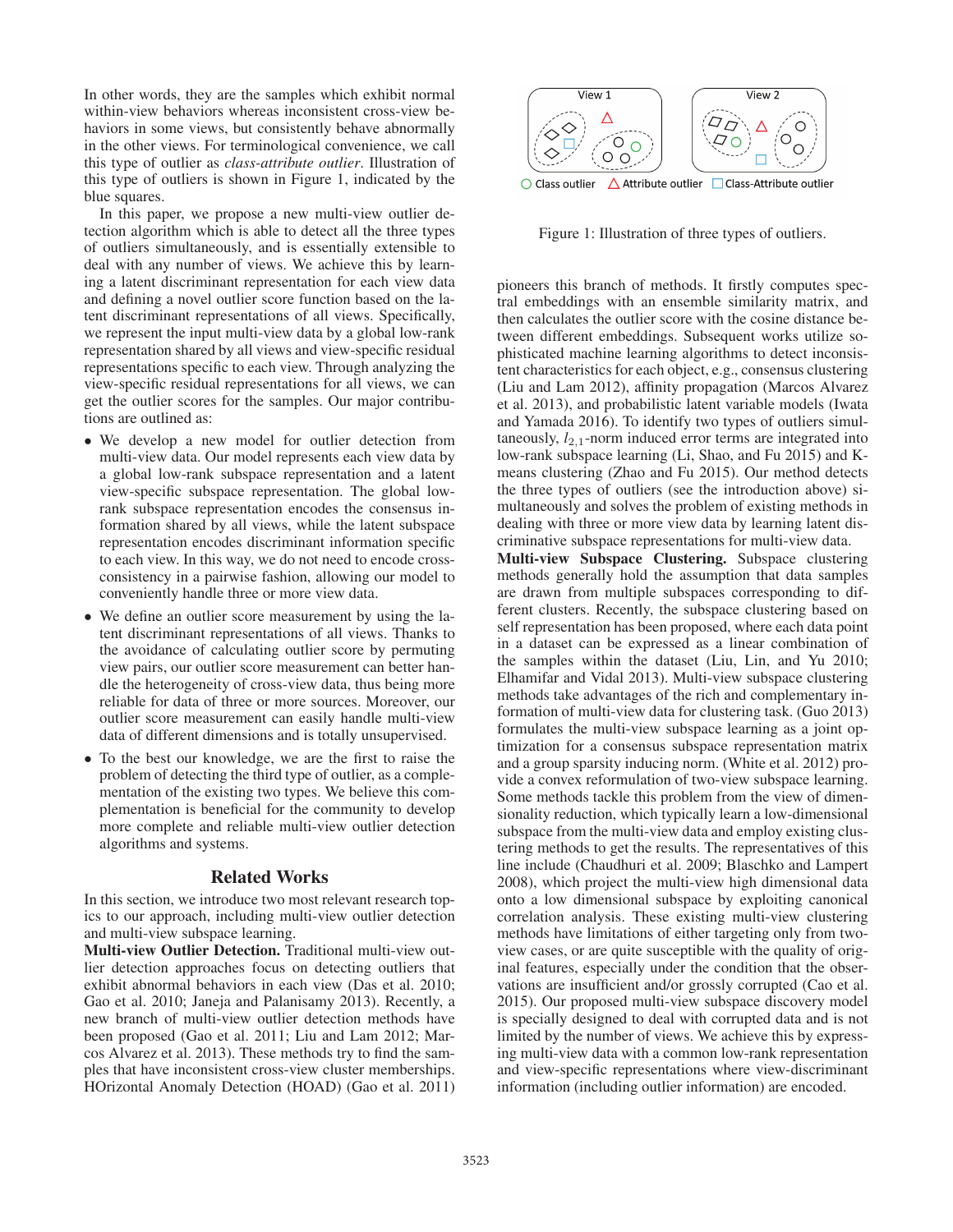In other words, they are the samples which exhibit normal within-view behaviors whereas inconsistent cross-view behaviors in some views, but consistently behave abnormally in the other views. For terminological convenience, we call this type of outlier as *class-attribute outlier*. Illustration of this type of outliers is shown in Figure 1, indicated by the blue squares.

In this paper, we propose a new multi-view outlier detection algorithm which is able to detect all the three types of outliers simultaneously, and is essentially extensible to deal with any number of views. We achieve this by learning a latent discriminant representation for each view data and defining a novel outlier score function based on the latent discriminant representations of all views. Specifically, we represent the input multi-view data by a global low-rank representation shared by all views and view-specific residual representations specific to each view. Through analyzing the view-specific residual representations for all views, we can get the outlier scores for the samples. Our major contributions are outlined as:

- We develop a new model for outlier detection from multi-view data. Our model represents each view data by a global low-rank subspace representation and a latent view-specific subspace representation. The global lowrank subspace representation encodes the consensus information shared by all views, while the latent subspace representation encodes discriminant information specific to each view. In this way, we do not need to encode crossconsistency in a pairwise fashion, allowing our model to conveniently handle three or more view data.
- We define an outlier score measurement by using the latent discriminant representations of all views. Thanks to the avoidance of calculating outlier score by permuting view pairs, our outlier score measurement can better handle the heterogeneity of cross-view data, thus being more reliable for data of three or more sources. Moreover, our outlier score measurement can easily handle multi-view data of different dimensions and is totally unsupervised.
- To the best our knowledge, we are the first to raise the problem of detecting the third type of outlier, as a complementation of the existing two types. We believe this complementation is beneficial for the community to develop more complete and reliable multi-view outlier detection algorithms and systems.

# Related Works

In this section, we introduce two most relevant research topics to our approach, including multi-view outlier detection and multi-view subspace learning.

Multi-view Outlier Detection. Traditional multi-view outlier detection approaches focus on detecting outliers that exhibit abnormal behaviors in each view (Das et al. 2010; Gao et al. 2010; Janeja and Palanisamy 2013). Recently, a new branch of multi-view outlier detection methods have been proposed (Gao et al. 2011; Liu and Lam 2012; Marcos Alvarez et al. 2013). These methods try to find the samples that have inconsistent cross-view cluster memberships. HOrizontal Anomaly Detection (HOAD) (Gao et al. 2011)



Figure 1: Illustration of three types of outliers.

pioneers this branch of methods. It firstly computes spectral embeddings with an ensemble similarity matrix, and then calculates the outlier score with the cosine distance between different embeddings. Subsequent works utilize sophisticated machine learning algorithms to detect inconsistent characteristics for each object, e.g., consensus clustering (Liu and Lam 2012), affinity propagation (Marcos Alvarez et al. 2013), and probabilistic latent variable models (Iwata and Yamada 2016). To identify two types of outliers simultaneously,  $l_{2,1}$ -norm induced error terms are integrated into low-rank subspace learning (Li, Shao, and Fu 2015) and Kmeans clustering (Zhao and Fu 2015). Our method detects the three types of outliers (see the introduction above) simultaneously and solves the problem of existing methods in dealing with three or more view data by learning latent discriminative subspace representations for multi-view data.

Multi-view Subspace Clustering. Subspace clustering methods generally hold the assumption that data samples are drawn from multiple subspaces corresponding to different clusters. Recently, the subspace clustering based on self representation has been proposed, where each data point in a dataset can be expressed as a linear combination of the samples within the dataset (Liu, Lin, and Yu 2010; Elhamifar and Vidal 2013). Multi-view subspace clustering methods take advantages of the rich and complementary information of multi-view data for clustering task. (Guo 2013) formulates the multi-view subspace learning as a joint optimization for a consensus subspace representation matrix and a group sparsity inducing norm. (White et al. 2012) provide a convex reformulation of two-view subspace learning. Some methods tackle this problem from the view of dimensionality reduction, which typically learn a low-dimensional subspace from the multi-view data and employ existing clustering methods to get the results. The representatives of this line include (Chaudhuri et al. 2009; Blaschko and Lampert 2008), which project the multi-view high dimensional data onto a low dimensional subspace by exploiting canonical correlation analysis. These existing multi-view clustering methods have limitations of either targeting only from twoview cases, or are quite susceptible with the quality of original features, especially under the condition that the observations are insufficient and/or grossly corrupted (Cao et al. 2015). Our proposed multi-view subspace discovery model is specially designed to deal with corrupted data and is not limited by the number of views. We achieve this by expressing multi-view data with a common low-rank representation and view-specific representations where view-discriminant information (including outlier information) are encoded.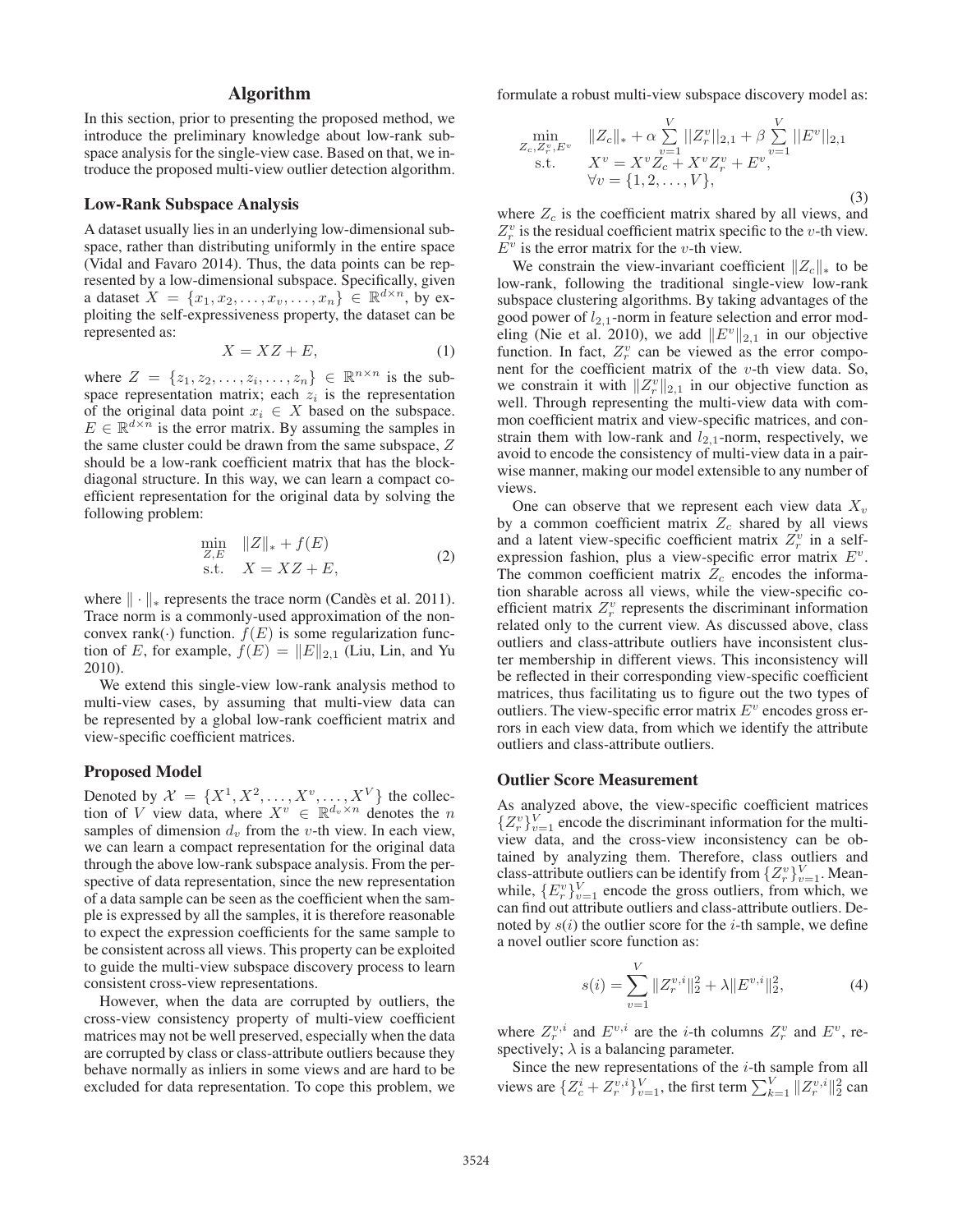# Algorithm

In this section, prior to presenting the proposed method, we introduce the preliminary knowledge about low-rank subspace analysis for the single-view case. Based on that, we introduce the proposed multi-view outlier detection algorithm.

## Low-Rank Subspace Analysis

A dataset usually lies in an underlying low-dimensional subspace, rather than distributing uniformly in the entire space (Vidal and Favaro 2014). Thus, the data points can be represented by a low-dimensional subspace. Specifically, given a dataset  $X = \{x_1, x_2, \ldots, x_v, \ldots, x_n\} \in \mathbb{R}^{d \times n}$ , by exploiting the self-expressiveness property, the dataset can be represented as:

$$
X = XZ + E,\t\t(1)
$$

where  $Z = \{z_1, z_2, \dots, z_i, \dots, z_n\} \in \mathbb{R}^{n \times n}$  is the subspace representation matrix; each  $z_i$  is the representation of the original data point  $x_i \in X$  based on the subspace.  $E \in \mathbb{R}^{d \times n}$  is the error matrix. By assuming the samples in the same cluster could be drawn from the same subspace, Z should be a low-rank coefficient matrix that has the blockdiagonal structure. In this way, we can learn a compact coefficient representation for the original data by solving the following problem:

$$
\min_{Z,E} \quad ||Z||_* + f(E)
$$
\n
$$
\text{s.t.} \quad X = XZ + E,
$$
\n
$$
(2)
$$

where  $\|\cdot\|_*$  represents the trace norm (Candès et al. 2011). Trace norm is a commonly-used approximation of the nonconvex rank( $\cdot$ ) function.  $f(E)$  is some regularization function of E, for example,  $f(E) = ||E||_{2,1}$  (Liu, Lin, and Yu 2010).

We extend this single-view low-rank analysis method to multi-view cases, by assuming that multi-view data can be represented by a global low-rank coefficient matrix and view-specific coefficient matrices.

## Proposed Model

Denoted by  $\mathcal{X} = \{X^1, X^2, \dots, X^v, \dots, X^V\}$  the collection of V view data, where  $X^v \in \mathbb{R}^{d_v \times n}$  denotes the n samples of dimension  $d_v$  from the v-th view. In each view, we can learn a compact representation for the original data through the above low-rank subspace analysis. From the perspective of data representation, since the new representation of a data sample can be seen as the coefficient when the sample is expressed by all the samples, it is therefore reasonable to expect the expression coefficients for the same sample to be consistent across all views. This property can be exploited to guide the multi-view subspace discovery process to learn consistent cross-view representations.

However, when the data are corrupted by outliers, the cross-view consistency property of multi-view coefficient matrices may not be well preserved, especially when the data are corrupted by class or class-attribute outliers because they behave normally as inliers in some views and are hard to be excluded for data representation. To cope this problem, we

formulate a robust multi-view subspace discovery model as:

$$
\min_{\substack{Z_c, Z_v^v, E^v \\ \text{s.t.}}} \quad \substack{\|Z_c\|_{*} + \alpha \sum_{v=1}^V \|Z_r^v\|_{2,1} + \beta \sum_{v=1}^V \|E^v\|_{2,1} \\ \text{s.t.}} \quad X^v = X^v Z_c + X^v Z_r^v + E^v, \\ \forall v = \{1, 2, \dots, V\}, \tag{3}
$$

where  $Z_c$  is the coefficient matrix shared by all views, and  $Z_r^v$  is the residual coefficient matrix specific to the v-th view.  $E^v$  is the error matrix for the v-th view.

We constrain the view-invariant coefficient  $||Z_c||_*$  to be low-rank, following the traditional single-view low-rank subspace clustering algorithms. By taking advantages of the good power of  $l_{2,1}$ -norm in feature selection and error modeling (Nie et al. 2010), we add  $||E^v||_{2,1}$  in our objective function. In fact,  $Z_r^v$  can be viewed as the error component for the coefficient matrix of the  $v$ -th view data. So, we constrain it with  $||Z_r^v||_{2,1}$  in our objective function as well. Through representing the multi-view data with common coefficient matrix and view-specific matrices, and constrain them with low-rank and  $l_{2,1}$ -norm, respectively, we avoid to encode the consistency of multi-view data in a pairwise manner, making our model extensible to any number of views.

One can observe that we represent each view data  $X_v$ by a common coefficient matrix  $Z_c$  shared by all views and a latent view-specific coefficient matrix  $Z_r^v$  in a selfexpression fashion, plus a view-specific error matrix  $E^v$ . The common coefficient matrix  $Z_c$  encodes the information sharable across all views, while the view-specific coefficient matrix  $Z_r^v$  represents the discriminant information related only to the current view. As discussed above, class outliers and class-attribute outliers have inconsistent cluster membership in different views. This inconsistency will be reflected in their corresponding view-specific coefficient matrices, thus facilitating us to figure out the two types of outliers. The view-specific error matrix  $E<sup>v</sup>$  encodes gross errors in each view data, from which we identify the attribute outliers and class-attribute outliers.

#### Outlier Score Measurement

As analyzed above, the view-specific coefficient matrices  ${Z_r^v}_{v=1}^V$  encode the discriminant information for the multiview data, and the cross-view inconsistency can be obtained by analyzing them. Therefore, class outliers and class-attribute outliers can be identify from  $\{Z_r^v\}_{v=1}^V$ . Meanwhile,  $\{E_r^v\}_{v=1}^V$  encode the gross outliers, from which, we can find out attribute outliers and class-attribute outliers. Denoted by  $s(i)$  the outlier score for the *i*-th sample, we define a novel outlier score function as:

$$
s(i) = \sum_{v=1}^{V} ||Z_r^{v,i}||_2^2 + \lambda ||E^{v,i}||_2^2,
$$
 (4)

where  $Z_r^{v,i}$  and  $E^{v,i}$  are the *i*-th columns  $Z_r^v$  and  $E^v$ , respectively;  $\lambda$  is a balancing parameter.

Since the new representations of the  $i$ -th sample from all views are  $\{Z_c^i + Z_r^{v,i}\}_{v=1}^V$ , the first term  $\sum_{k=1}^V \|Z_r^{v,i}\|_2^2$  can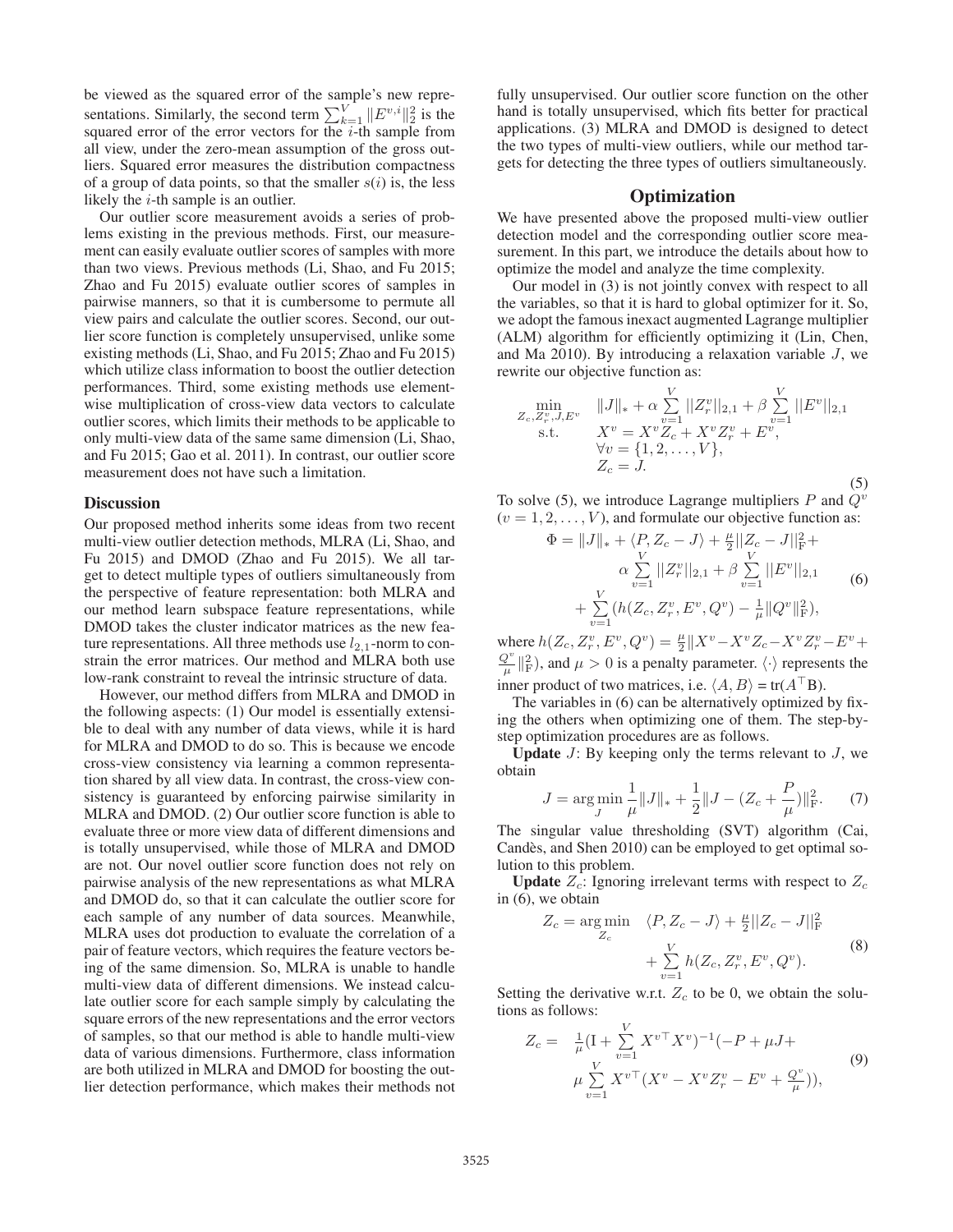be viewed as the squared error of the sample's new representations. Similarly, the second term  $\sum_{k=1}^{V} ||E^{v,i}||_2^2$  is the squared error of the error vectors for the  $i$ -th sample from all view, under the zero-mean assumption of the gross outliers. Squared error measures the distribution compactness of a group of data points, so that the smaller  $s(i)$  is, the less likely the *i*-th sample is an outlier.

Our outlier score measurement avoids a series of problems existing in the previous methods. First, our measurement can easily evaluate outlier scores of samples with more than two views. Previous methods (Li, Shao, and Fu 2015; Zhao and Fu 2015) evaluate outlier scores of samples in pairwise manners, so that it is cumbersome to permute all view pairs and calculate the outlier scores. Second, our outlier score function is completely unsupervised, unlike some existing methods (Li, Shao, and Fu 2015; Zhao and Fu 2015) which utilize class information to boost the outlier detection performances. Third, some existing methods use elementwise multiplication of cross-view data vectors to calculate outlier scores, which limits their methods to be applicable to only multi-view data of the same same dimension (Li, Shao, and Fu 2015; Gao et al. 2011). In contrast, our outlier score measurement does not have such a limitation.

#### **Discussion**

Our proposed method inherits some ideas from two recent multi-view outlier detection methods, MLRA (Li, Shao, and Fu 2015) and DMOD (Zhao and Fu 2015). We all target to detect multiple types of outliers simultaneously from the perspective of feature representation: both MLRA and our method learn subspace feature representations, while DMOD takes the cluster indicator matrices as the new feature representations. All three methods use  $l_{2,1}$ -norm to constrain the error matrices. Our method and MLRA both use low-rank constraint to reveal the intrinsic structure of data.

However, our method differs from MLRA and DMOD in the following aspects: (1) Our model is essentially extensible to deal with any number of data views, while it is hard for MLRA and DMOD to do so. This is because we encode cross-view consistency via learning a common representation shared by all view data. In contrast, the cross-view consistency is guaranteed by enforcing pairwise similarity in MLRA and DMOD. (2) Our outlier score function is able to evaluate three or more view data of different dimensions and is totally unsupervised, while those of MLRA and DMOD are not. Our novel outlier score function does not rely on pairwise analysis of the new representations as what MLRA and DMOD do, so that it can calculate the outlier score for each sample of any number of data sources. Meanwhile, MLRA uses dot production to evaluate the correlation of a pair of feature vectors, which requires the feature vectors being of the same dimension. So, MLRA is unable to handle multi-view data of different dimensions. We instead calculate outlier score for each sample simply by calculating the square errors of the new representations and the error vectors of samples, so that our method is able to handle multi-view data of various dimensions. Furthermore, class information are both utilized in MLRA and DMOD for boosting the outlier detection performance, which makes their methods not

fully unsupervised. Our outlier score function on the other hand is totally unsupervised, which fits better for practical applications. (3) MLRA and DMOD is designed to detect the two types of multi-view outliers, while our method targets for detecting the three types of outliers simultaneously.

# **Optimization**

We have presented above the proposed multi-view outlier detection model and the corresponding outlier score measurement. In this part, we introduce the details about how to optimize the model and analyze the time complexity.

Our model in (3) is not jointly convex with respect to all the variables, so that it is hard to global optimizer for it. So, we adopt the famous inexact augmented Lagrange multiplier (ALM) algorithm for efficiently optimizing it (Lin, Chen, and Ma 2010). By introducing a relaxation variable  $J$ , we rewrite our objective function as:

$$
\min_{\substack{Z_c, Z_r^v, J, E^v \\ \text{s.t.}}} \quad \substack{\|J\|_{*} + \alpha \sum_{v=1}^{V} ||Z_r^v||_{2,1} + \beta \sum_{v=1}^{V} ||E^v||_{2,1} \\ \text{s.t.}} \quad X^v = X^v Z_c + X^v Z_r^v + E^v, \\ \forall v = \{1, 2, ..., V\}, \\ Z_c = J. \tag{5}
$$

To solve (5), we introduce Lagrange multipliers  $P$  and  $Q^v$  $(v = 1, 2, \ldots, V)$ , and formulate our objective function as:

$$
\Phi = ||J||_* + \langle P, Z_c - J \rangle + \frac{\mu}{2} ||Z_c - J||_F^2 +
$$
  
\n
$$
\alpha \sum_{v=1}^V ||Z_r^v||_{2,1} + \beta \sum_{v=1}^V ||E^v||_{2,1}
$$
  
\n
$$
+ \sum_{v=1}^V (h(Z_c, Z_r^v, E^v, Q^v) - \frac{1}{\mu} ||Q^v||_F^2),
$$
\n(6)

where  $h(Z_c, Z_r^v, E^v, Q^v) = \frac{\mu}{2} ||X^v - X^v Z_c - X^v Z_r^v - E^v +$  $\frac{Q^v}{\mu}$   $\parallel^2_{\text{F}}$ ), and  $\mu > 0$  is a penalty parameter.  $\langle \cdot \rangle$  represents the inner product of two matrices, i.e.  $\langle A, B \rangle = \text{tr}(A^\top B)$ .

The variables in (6) can be alternatively optimized by fixing the others when optimizing one of them. The step-bystep optimization procedures are as follows.

**Update**  $J$ : By keeping only the terms relevant to  $J$ , we obtain

$$
J = \underset{J}{\arg\min} \frac{1}{\mu} ||J||_{*} + \frac{1}{2} ||J - (Z_c + \frac{P}{\mu})||_{\text{F}}^2. \tag{7}
$$

The singular value thresholding (SVT) algorithm (Cai, Candès, and Shen 2010) can be employed to get optimal solution to this problem.

**Update**  $Z_c$ : Ignoring irrelevant terms with respect to  $Z_c$ in (6), we obtain

$$
Z_c = \underset{Z_c}{\arg\min} \quad \langle P, Z_c - J \rangle + \frac{\mu}{2} ||Z_c - J||^2_{\text{F}} + \sum_{v=1}^{V} h(Z_c, Z_r^v, E^v, Q^v).
$$
 (8)

Setting the derivative w.r.t.  $Z_c$  to be 0, we obtain the solutions as follows:

$$
Z_c = \frac{1}{\mu} (I + \sum_{v=1}^{V} X^{v \top} X^v)^{-1} (-P + \mu J + \mu \sum_{v=1}^{V} X^{v \top} (X^v - X^v Z_r^v - E^v + \frac{Q^v}{\mu})),
$$
\n(9)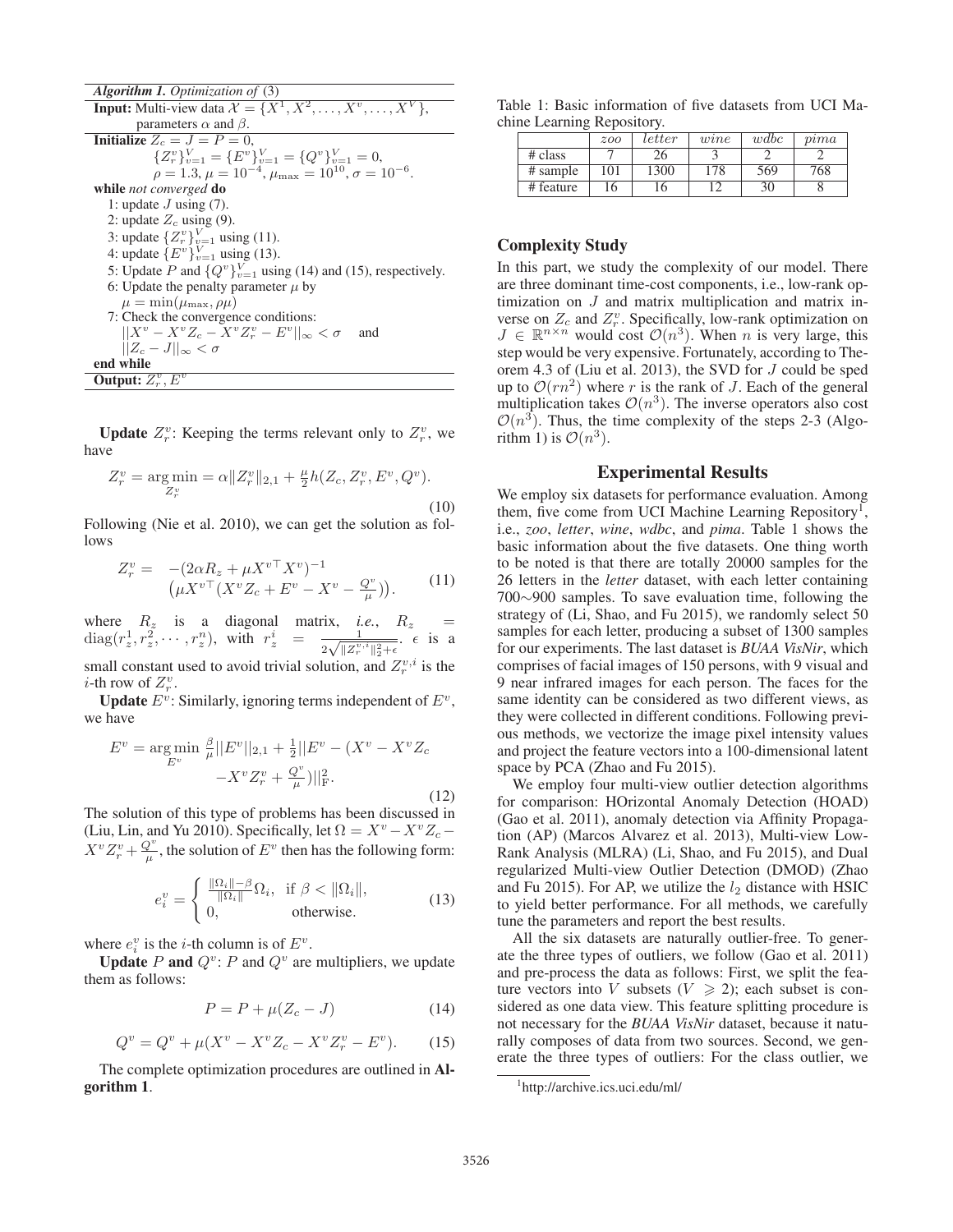| <b>Algorithm 1.</b> Optimization of (3)                                                |
|----------------------------------------------------------------------------------------|
| <b>Input:</b> Multi-view data $\mathcal{X} = \{X^1, X^2, \ldots, X^v, \ldots, X^V\},\$ |
| parameters $\alpha$ and $\beta$ .                                                      |
| Initialize $Z_c = J = P = 0$ ,                                                         |
| ${Z_r^v}_{v=1}^V = {E^v}_{v=1}^V = {Q^v}_{v=1}^V = 0,$                                 |
| $\rho = 1.3, \mu = 10^{-4}, \mu_{\text{max}} = 10^{10}, \sigma = 10^{-6}.$             |
| while <i>not converged</i> do                                                          |
| 1: update $J$ using (7).                                                               |
| 2: update $Z_c$ using (9).                                                             |
| 3: update $\{Z_r^v\}_{v=1}^V$ using (11).                                              |
| 4: update $\{E^v\}_{v=1}^V$ using (13).                                                |
| 5: Update P and $\{Q^v\}_{v=1}^V$ using (14) and (15), respectively.                   |
| 6: Update the penalty parameter $\mu$ by                                               |
| $\mu = \min(\mu_{\max}, \rho \mu)$                                                     |
| 7: Check the convergence conditions:                                                   |
| $  X^v - X^v Z_c - X^v Z_v^v - E^v  _{\infty} < \sigma$<br>and                         |
| $  Z_c - J  _{\infty} < \sigma$                                                        |
| end while                                                                              |
| <b>Output:</b> $Z_r^v$ , $E^v$                                                         |

**Update**  $Z_r^v$ : Keeping the terms relevant only to  $Z_r^v$ , we have

$$
Z_r^v = \underset{Z_r^v}{\text{arg min}} = \alpha \| Z_r^v \|_{2,1} + \frac{\mu}{2} h(Z_c, Z_r^v, E^v, Q^v). \tag{10}
$$

Following (Nie et al. 2010), we can get the solution as follows

$$
Z_r^v = -(2\alpha R_z + \mu X^{v\top} X^v)^{-1} \left(\mu X^{v\top} (X^v Z_c + E^v - X^v - \frac{Q^v}{\mu})\right).
$$
 (11)

where  $R_z$  is a diagonal matrix, *i.e.*,  $R_z$  =  $diag(r_z^1, r_z^2, \cdots, r_z^n)$ , with  $r_z^i = \frac{1}{2\sqrt{||z_r^{v,i}||_2^2 + \epsilon}}$   $\epsilon$  is a small constant used to avoid trivial solution, and  $Z_r^{v,i}$  is the *i*-th row of  $Z_r^v$ .

**Update**  $E^v$ : Similarly, ignoring terms independent of  $E^v$ , we have

$$
E^{v} = \underset{E^{v}}{\arg\min} \frac{\beta}{\mu} ||E^{v}||_{2,1} + \frac{1}{2} ||E^{v} - (X^{v} - X^{v} Z_{c} - X^{v} Z_{r}^{v})||_{\text{F}}^{2}.
$$
\n
$$
-X^{v} Z_{r}^{v} + \frac{Q^{v}}{\mu}) ||_{\text{F}}^{2}.
$$
\n(12)

The solution of this type of problems has been discussed in (Liu, Lin, and Yu 2010). Specifically, let  $\Omega = X^v - X^v Z_c X^v Z_r^v + \frac{Q^v}{\mu}$ , the solution of  $E^v$  then has the following form:

$$
e_i^v = \begin{cases} \frac{\|\Omega_i\| - \beta}{\|\Omega_i\|} \Omega_i, & \text{if } \beta < \|\Omega_i\|, \\ 0, & \text{otherwise.} \end{cases}
$$
(13)

where  $e_i^v$  is the *i*-th column is of  $E^v$ .

**Update** P and  $Q^v$ : P and  $Q^v$  are multipliers, we update them as follows:

$$
P = P + \mu(Z_c - J) \tag{14}
$$

$$
Q^{v} = Q^{v} + \mu (X^{v} - X^{v} Z_{c} - X^{v} Z_{r}^{v} - E^{v}).
$$
 (15)

The complete optimization procedures are outlined in Algorithm 1.

Table 1: Basic information of five datasets from UCI Machine Learning Repository.

|           | 200 | letter | wine | wdbc | $_{mna}$ |
|-----------|-----|--------|------|------|----------|
| # class   |     |        |      |      |          |
| # sample  | 101 | 1300   | 178  | 569  | 768      |
| # feature | 16  |        |      | 30   |          |

# Complexity Study

In this part, we study the complexity of our model. There are three dominant time-cost components, i.e., low-rank optimization on J and matrix multiplication and matrix inverse on  $Z_c$  and  $Z_r^v$ . Specifically, low-rank optimization on  $J \in \mathbb{R}^{n \times n}$  would cost  $\mathcal{O}(n^3)$ . When n is very large, this step would be very expensive. Fortunately, according to Theorem 4.3 of (Liu et al. 2013), the SVD for J could be sped up to  $\mathcal{O}(rn^2)$  where r is the rank of J. Each of the general multiplication takes  $\mathcal{O}(n^3)$ . The inverse operators also cost  $\mathcal{O}(n^3)$ . Thus, the time complexity of the steps 2-3 (Algorithm 1) is  $\mathcal{O}(n^3)$ .

# Experimental Results

We employ six datasets for performance evaluation. Among them, five come from UCI Machine Learning Repository<sup>1</sup>, i.e., *zoo*, *letter*, *wine*, *wdbc*, and *pima*. Table 1 shows the basic information about the five datasets. One thing worth to be noted is that there are totally 20000 samples for the 26 letters in the *letter* dataset, with each letter containing 700∼900 samples. To save evaluation time, following the strategy of (Li, Shao, and Fu 2015), we randomly select 50 samples for each letter, producing a subset of 1300 samples for our experiments. The last dataset is *BUAA VisNir*, which comprises of facial images of 150 persons, with 9 visual and 9 near infrared images for each person. The faces for the same identity can be considered as two different views, as they were collected in different conditions. Following previous methods, we vectorize the image pixel intensity values and project the feature vectors into a 100-dimensional latent space by PCA (Zhao and Fu 2015).

We employ four multi-view outlier detection algorithms for comparison: HOrizontal Anomaly Detection (HOAD) (Gao et al. 2011), anomaly detection via Affinity Propagation (AP) (Marcos Alvarez et al. 2013), Multi-view Low-Rank Analysis (MLRA) (Li, Shao, and Fu 2015), and Dual regularized Multi-view Outlier Detection (DMOD) (Zhao and Fu 2015). For AP, we utilize the  $l_2$  distance with HSIC to yield better performance. For all methods, we carefully tune the parameters and report the best results.

All the six datasets are naturally outlier-free. To generate the three types of outliers, we follow (Gao et al. 2011) and pre-process the data as follows: First, we split the feature vectors into V subsets ( $V \ge 2$ ); each subset is considered as one data view. This feature splitting procedure is not necessary for the *BUAA VisNir* dataset, because it naturally composes of data from two sources. Second, we generate the three types of outliers: For the class outlier, we

<sup>1</sup> http://archive.ics.uci.edu/ml/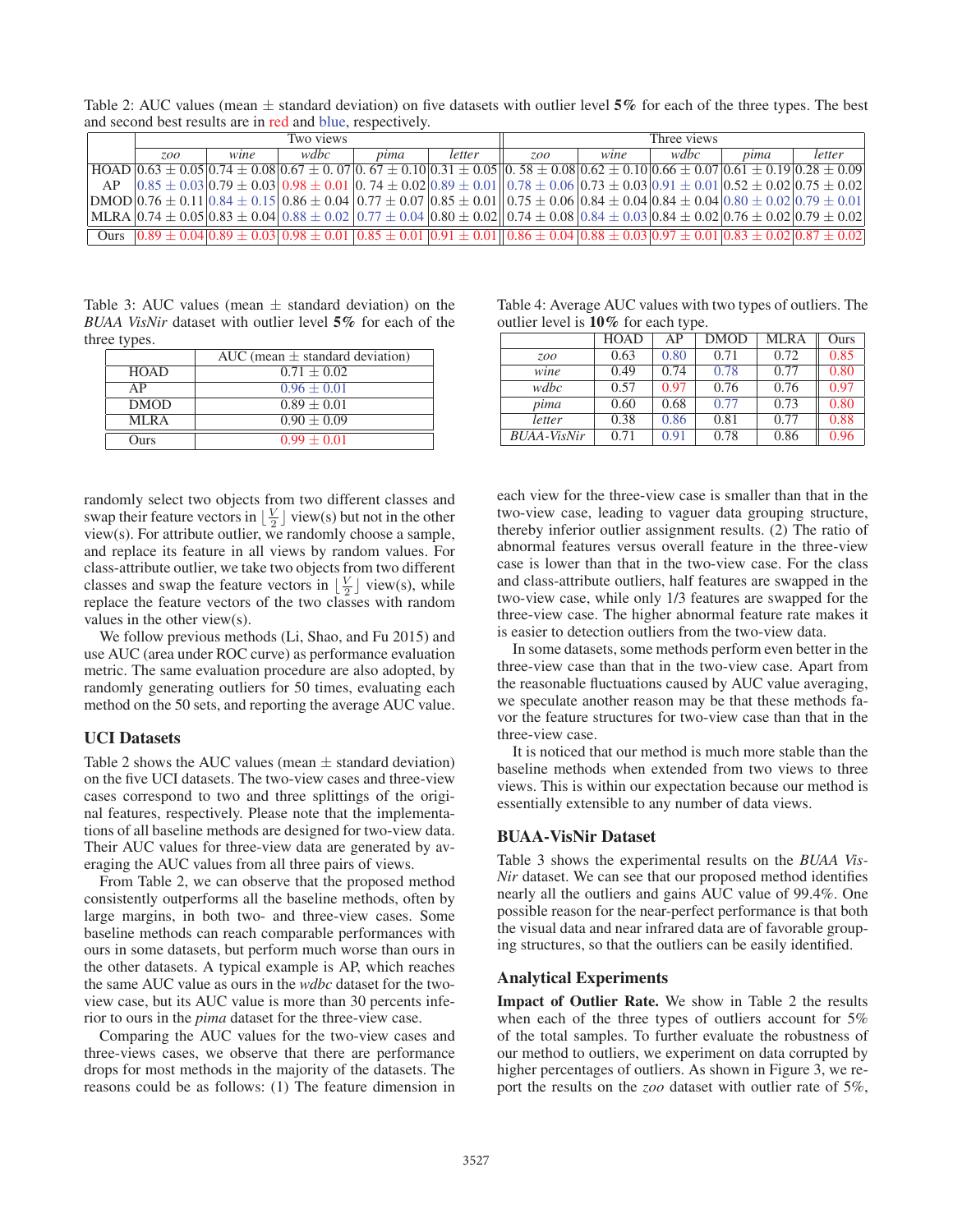Table 2: AUC values (mean  $\pm$  standard deviation) on five datasets with outlier level 5% for each of the three types. The best and second best results are in red and blue, respectively.

|             | Two views |      |      | Three views |        |                                                                                                                                                                                                                                                                                    |      |      |      |        |
|-------------|-----------|------|------|-------------|--------|------------------------------------------------------------------------------------------------------------------------------------------------------------------------------------------------------------------------------------------------------------------------------------|------|------|------|--------|
|             | 7.00      | wine | wdbc | pima        | letter | 700                                                                                                                                                                                                                                                                                | wine | wdbc | pima | letter |
|             |           |      |      |             |        | $HOAD   0.63 \pm 0.05   0.74 \pm 0.08   0.67 \pm 0.07   0.67 \pm 0.10   0.31 \pm 0.05   0.58 \pm 0.08   0.62 \pm 0.10   0.66 \pm 0.07   0.61 \pm 0.19   0.28 \pm 0.09   0.67 \pm 0.07   0.67 \pm 0.07   0.67 \pm 0.07   0.67 \pm 0.07   0.68 \pm 0.07   0.69 \pm 0.07   0.69 \pm $ |      |      |      |        |
| AP          |           |      |      |             |        | $[0.85 \pm 0.03]$ $0.79 \pm 0.03]$ $0.98 \pm 0.01$ $[0.74 \pm 0.02]$ $0.89 \pm 0.01]$ $0.78 \pm 0.06$ $[0.73 \pm 0.03]$ $0.91 \pm 0.01]$ $0.52 \pm 0.02]$ $0.75 \pm 0.02$                                                                                                          |      |      |      |        |
|             |           |      |      |             |        | $D_{\text{MOD}}[0.76 \pm 0.11]0.84 \pm 0.15]0.86 \pm 0.04]0.77 \pm 0.07]0.85 \pm 0.01]0.75 \pm 0.06]0.84 \pm 0.04]0.84 \pm 0.04]0.80 \pm 0.02]0.79 \pm 0.01]0.89 \pm 0.02]0.79 \pm 0.01]0.89 \pm 0.02]0.79 \pm 0.03]$                                                              |      |      |      |        |
|             |           |      |      |             |        | $MLRA$ $ 0.74 \pm 0.05 0.83 \pm 0.04 0.88 \pm 0.02 0.77 \pm 0.04 0.80 \pm 0.02 0.74 \pm 0.08 0.84 \pm 0.03 0.84 \pm 0.02 0.76 \pm 0.02 0.79 \pm 0.02 0.79 \pm 0.02 0.79 \pm 0.02 0.79 \pm 0.02 0.79 \pm 0.02 0.79 \pm 0.02 0.79 \pm 0.02 0.79 \pm 0.02 0.79 \pm 0.0$               |      |      |      |        |
| <b>Ours</b> |           |      |      |             |        | $0.89 \pm 0.04$ $0.89 \pm 0.03$ $0.98 \pm 0.01$ $0.85 \pm 0.01$ $0.91 \pm 0.01$ $0.86 \pm 0.04$ $0.88 \pm 0.03$ $0.97 \pm 0.01$ $0.83 \pm 0.02$ $0.87 \pm 0.02$                                                                                                                    |      |      |      |        |

Table 3: AUC values (mean  $\pm$  standard deviation) on the *BUAA VisNir* dataset with outlier level 5% for each of the three types.

|             | AUC (mean $\pm$ standard deviation) |
|-------------|-------------------------------------|
| <b>HOAD</b> | $0.71 + 0.02$                       |
| AP          | $0.96 \pm 0.01$                     |
| <b>DMOD</b> | $0.89 \pm 0.01$                     |
| MLRA        | $0.90 \pm 0.09$                     |
| Ours        | $0.99 + 0.01$                       |
|             |                                     |

randomly select two objects from two different classes and swap their feature vectors in  $\lfloor \frac{V}{2} \rfloor$  view(s) but not in the other view(s). For attribute outlier, we randomly choose a sample, and replace its feature in all views by random values. For class-attribute outlier, we take two objects from two different classes and swap the feature vectors in  $\left[\frac{V}{2}\right]$  view(s), while replace the feature vectors of the two classes with random values in the other view(s).

We follow previous methods (Li, Shao, and Fu 2015) and use AUC (area under ROC curve) as performance evaluation metric. The same evaluation procedure are also adopted, by randomly generating outliers for 50 times, evaluating each method on the 50 sets, and reporting the average AUC value.

# UCI Datasets

Table 2 shows the AUC values (mean  $\pm$  standard deviation) on the five UCI datasets. The two-view cases and three-view cases correspond to two and three splittings of the original features, respectively. Please note that the implementations of all baseline methods are designed for two-view data. Their AUC values for three-view data are generated by averaging the AUC values from all three pairs of views.

From Table 2, we can observe that the proposed method consistently outperforms all the baseline methods, often by large margins, in both two- and three-view cases. Some baseline methods can reach comparable performances with ours in some datasets, but perform much worse than ours in the other datasets. A typical example is AP, which reaches the same AUC value as ours in the *wdbc* dataset for the twoview case, but its AUC value is more than 30 percents inferior to ours in the *pima* dataset for the three-view case.

Comparing the AUC values for the two-view cases and three-views cases, we observe that there are performance drops for most methods in the majority of the datasets. The reasons could be as follows: (1) The feature dimension in

| Table 4: Average AUC values with two types of outliers. The |  |
|-------------------------------------------------------------|--|
| outlier level is $10\%$ for each type.                      |  |

|                    | <b>HOAD</b> | AP   | <b>DMOD</b> | <b>MLRA</b> | Ours |
|--------------------|-------------|------|-------------|-------------|------|
| <i><b>ZOO</b></i>  | 0.63        | 0.80 | 0.71        | 0.72        | 0.85 |
| wine               | 0.49        | 0.74 | 0.78        | 0.77        | 0.80 |
| wdbc               | 0.57        | 0.97 | 0.76        | 0.76        | 0.97 |
| pima               | 0.60        | 0.68 | 0.77        | 0.73        | 0.80 |
| letter             | 0.38        | 0.86 | 0.81        | 0.77        | 0.88 |
| <i>BUAA-VisNir</i> | 0.71        | 0.91 | 0.78        | 0.86        | 0.96 |

each view for the three-view case is smaller than that in the two-view case, leading to vaguer data grouping structure, thereby inferior outlier assignment results. (2) The ratio of abnormal features versus overall feature in the three-view case is lower than that in the two-view case. For the class and class-attribute outliers, half features are swapped in the two-view case, while only 1/3 features are swapped for the three-view case. The higher abnormal feature rate makes it is easier to detection outliers from the two-view data.

In some datasets, some methods perform even better in the three-view case than that in the two-view case. Apart from the reasonable fluctuations caused by AUC value averaging, we speculate another reason may be that these methods favor the feature structures for two-view case than that in the three-view case.

It is noticed that our method is much more stable than the baseline methods when extended from two views to three views. This is within our expectation because our method is essentially extensible to any number of data views.

#### BUAA-VisNir Dataset

Table 3 shows the experimental results on the *BUAA Vis-Nir* dataset. We can see that our proposed method identifies nearly all the outliers and gains AUC value of 99.4%. One possible reason for the near-perfect performance is that both the visual data and near infrared data are of favorable grouping structures, so that the outliers can be easily identified.

# Analytical Experiments

Impact of Outlier Rate. We show in Table 2 the results when each of the three types of outliers account for 5% of the total samples. To further evaluate the robustness of our method to outliers, we experiment on data corrupted by higher percentages of outliers. As shown in Figure 3, we report the results on the *zoo* dataset with outlier rate of 5%,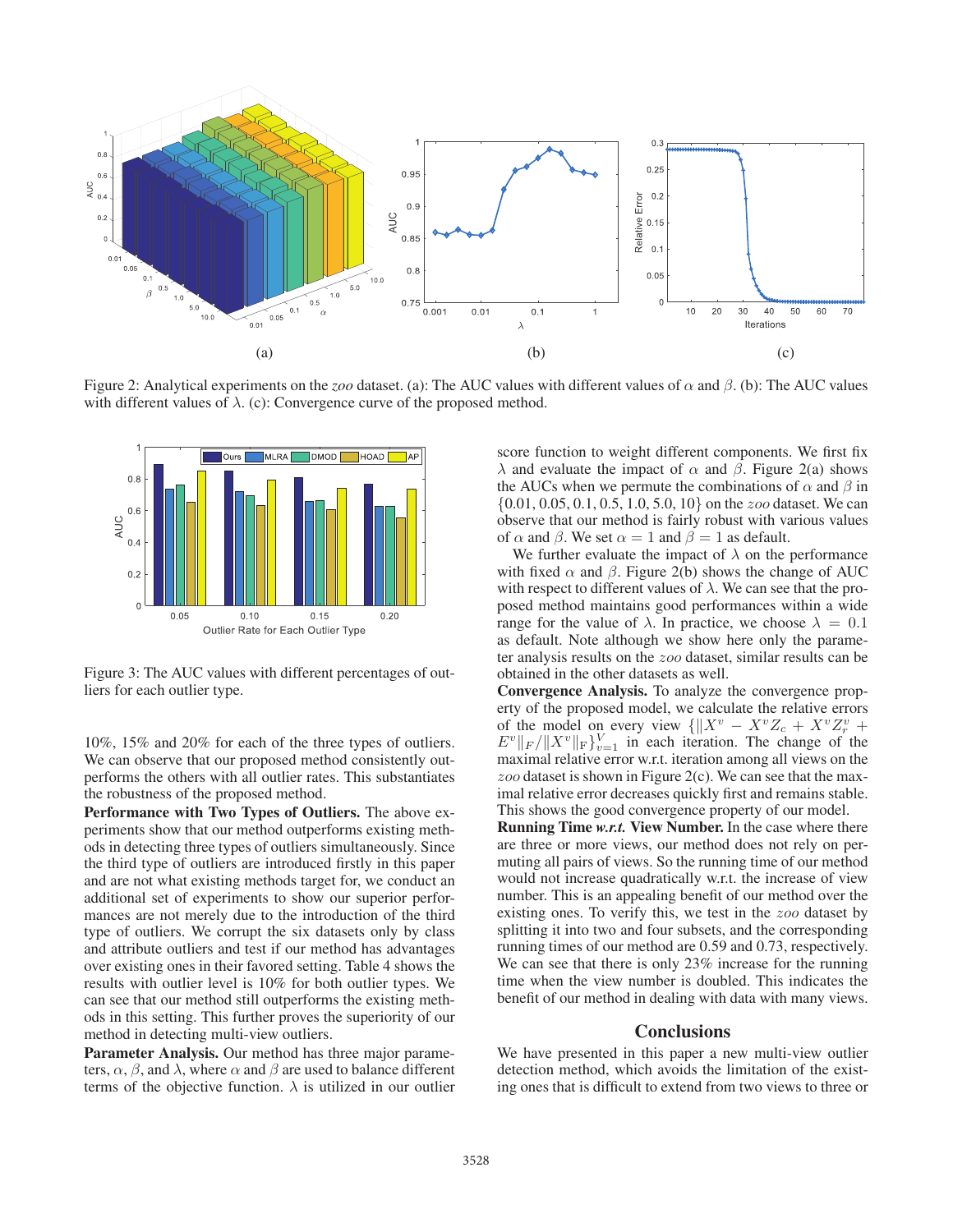

Figure 2: Analytical experiments on the *zoo* dataset. (a): The AUC values with different values of α and β. (b): The AUC values with different values of  $\lambda$ . (c): Convergence curve of the proposed method.



Figure 3: The AUC values with different percentages of outliers for each outlier type.

10%, 15% and 20% for each of the three types of outliers. We can observe that our proposed method consistently outperforms the others with all outlier rates. This substantiates the robustness of the proposed method.

Performance with Two Types of Outliers. The above experiments show that our method outperforms existing methods in detecting three types of outliers simultaneously. Since the third type of outliers are introduced firstly in this paper and are not what existing methods target for, we conduct an additional set of experiments to show our superior performances are not merely due to the introduction of the third type of outliers. We corrupt the six datasets only by class and attribute outliers and test if our method has advantages over existing ones in their favored setting. Table 4 shows the results with outlier level is 10% for both outlier types. We can see that our method still outperforms the existing methods in this setting. This further proves the superiority of our method in detecting multi-view outliers.

Parameter Analysis. Our method has three major parameters,  $\alpha$ ,  $\beta$ , and  $\lambda$ , where  $\alpha$  and  $\beta$  are used to balance different terms of the objective function.  $\lambda$  is utilized in our outlier

score function to weight different components. We first fix λ and evaluate the impact of  $\alpha$  and  $\beta$ . Figure 2(a) shows the AUCs when we permute the combinations of  $\alpha$  and  $\beta$  in  $\{0.01, 0.05, 0.1, 0.5, 1.0, 5.0, 10\}$  on the *zoo* dataset. We can observe that our method is fairly robust with various values of  $\alpha$  and  $\beta$ . We set  $\alpha = 1$  and  $\beta = 1$  as default.

We further evaluate the impact of  $\lambda$  on the performance with fixed  $\alpha$  and  $\beta$ . Figure 2(b) shows the change of AUC with respect to different values of  $\lambda$ . We can see that the proposed method maintains good performances within a wide range for the value of  $\lambda$ . In practice, we choose  $\lambda = 0.1$ as default. Note although we show here only the parameter analysis results on the zoo dataset, similar results can be obtained in the other datasets as well.

Convergence Analysis. To analyze the convergence property of the proposed model, we calculate the relative errors of the model on every view  $\{ \|X^v - X^v Z_c + X^v Z_r^v + \|X^v - X^v Z_c\}$  $E^v \Vert_F / \Vert X^v \Vert_F$   $\big\|_{v=1}^V$  in each iteration. The change of the maximal relative error w.r.t. iteration among all views on the zoo dataset is shown in Figure 2(c). We can see that the maximal relative error decreases quickly first and remains stable. This shows the good convergence property of our model.

Running Time *w.r.t.* View Number. In the case where there are three or more views, our method does not rely on permuting all pairs of views. So the running time of our method would not increase quadratically w.r.t. the increase of view number. This is an appealing benefit of our method over the existing ones. To verify this, we test in the zoo dataset by splitting it into two and four subsets, and the corresponding running times of our method are 0.59 and 0.73, respectively. We can see that there is only 23% increase for the running time when the view number is doubled. This indicates the benefit of our method in dealing with data with many views.

# **Conclusions**

We have presented in this paper a new multi-view outlier detection method, which avoids the limitation of the existing ones that is difficult to extend from two views to three or